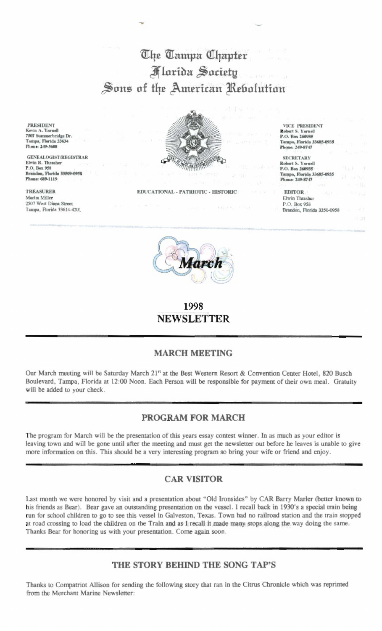# The Tampa Chapter **Florida Society** Sons of the American Rebolution

**PRESIDENT** Kevin A. Yarnell 7507 Summerbridge Dr. Tampa, Florida 33634 Phone: 249-5608

**GENEALOGIST/REGISTRAR** Elwin R. Thrasher P.O. Box 958 Brandon, Florida 33509-0958 Phone: 689-1119

**TREASURER** Martin Miller 2507 West Diana Street Tampa, Florida 33614-4201



EDUCATIONAL - PATRIOTIC - HISTORIC

**VICE PRESIDENT** Robert S. Yarnell P.O. Box 260935 Tampa, Florida 33685-0935 Phone: 249-8747

**SECRETARY** Robert S. Yarnell P.O. Box 260935 Tampa, Florida 33685-0935 Phone: 249-8747

**EDITOR** Elwin Thrasher P.O. Box 958 Brandon, Florida 3350-0958



1998 **NEWSLETTER** 

## **MARCH MEETING**

Our March meeting will be Saturday March 21<sup>n</sup> at the Best Western Resort & Convention Center Hotel, 820 Busch Boulevard, Tampa, Florida at 12:00 Noon. Each Person will be responsible for payment of their own meal. Gratuity will be added to your check.

## PROGRAM FOR MARCH

The program for March will be the presentation of this years essay contest winner. In as much as your editor is leaving town and will be gone until after the meeting and must get the newsletter out before he leaves is unable to give more information on this. This should be a very interesting program so bring your wife or friend and enjoy.

### **CAR VISITOR**

Last month we were honored by visit and a presentation about "Old Ironsides" by CAR Barry Marler (better known to his friends as Bear). Bear gave an outstanding presentation on the vessel. I recall back in 1930's a special train being run for school children to go to see this vessel in Galveston, Texas. Town had no railroad station and the train stopped at road crossing to load the children on the Train and as I recall it made many stops along the way doing the same. Thanks Bear for honoring us with your presentation. Come again soon.

### THE STORY BEHIND THE SONG TAP'S

Thanks to Compatriot Allison for sending the following story that ran in the Citrus Chronicle which was reprinted from the Merchant Marine Newsletter: